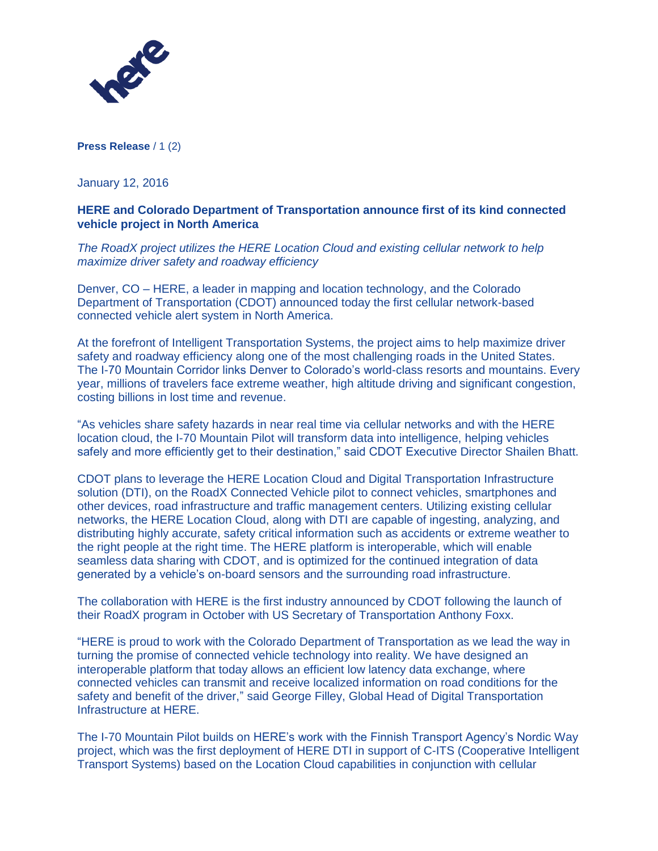

**Press Release** / 1 (2)

January 12, 2016

# **HERE and Colorado Department of Transportation announce first of its kind connected vehicle project in North America**

*The RoadX project utilizes the HERE Location Cloud and existing cellular network to help maximize driver safety and roadway efficiency*

Denver, CO – HERE, a leader in mapping and location technology, and the Colorado Department of Transportation (CDOT) announced today the first cellular network-based connected vehicle alert system in North America.

At the forefront of Intelligent Transportation Systems, the project aims to help maximize driver safety and roadway efficiency along one of the most challenging roads in the United States. The I-70 Mountain Corridor links Denver to Colorado's world-class resorts and mountains. Every year, millions of travelers face extreme weather, high altitude driving and significant congestion, costing billions in lost time and revenue.

"As vehicles share safety hazards in near real time via cellular networks and with the HERE location cloud, the I-70 Mountain Pilot will transform data into intelligence, helping vehicles safely and more efficiently get to their destination," said CDOT Executive Director Shailen Bhatt.

CDOT plans to leverage the HERE Location Cloud and Digital Transportation Infrastructure solution (DTI), on the RoadX Connected Vehicle pilot to connect vehicles, smartphones and other devices, road infrastructure and traffic management centers. Utilizing existing cellular networks, the HERE Location Cloud, along with DTI are capable of ingesting, analyzing, and distributing highly accurate, safety critical information such as accidents or extreme weather to the right people at the right time. The HERE platform is interoperable, which will enable seamless data sharing with CDOT, and is optimized for the continued integration of data generated by a vehicle's on-board sensors and the surrounding road infrastructure.

The collaboration with HERE is the first industry announced by CDOT following the launch of their RoadX program in October with US Secretary of Transportation Anthony Foxx.

"HERE is proud to work with the Colorado Department of Transportation as we lead the way in turning the promise of connected vehicle technology into reality. We have designed an interoperable platform that today allows an efficient low latency data exchange, where connected vehicles can transmit and receive localized information on road conditions for the safety and benefit of the driver," said George Filley, Global Head of Digital Transportation Infrastructure at HERE.

The I-70 Mountain Pilot builds on HERE's work with the Finnish Transport Agency's Nordic Way project, which was the first deployment of HERE DTI in support of C-ITS (Cooperative Intelligent Transport Systems) based on the Location Cloud capabilities in conjunction with cellular